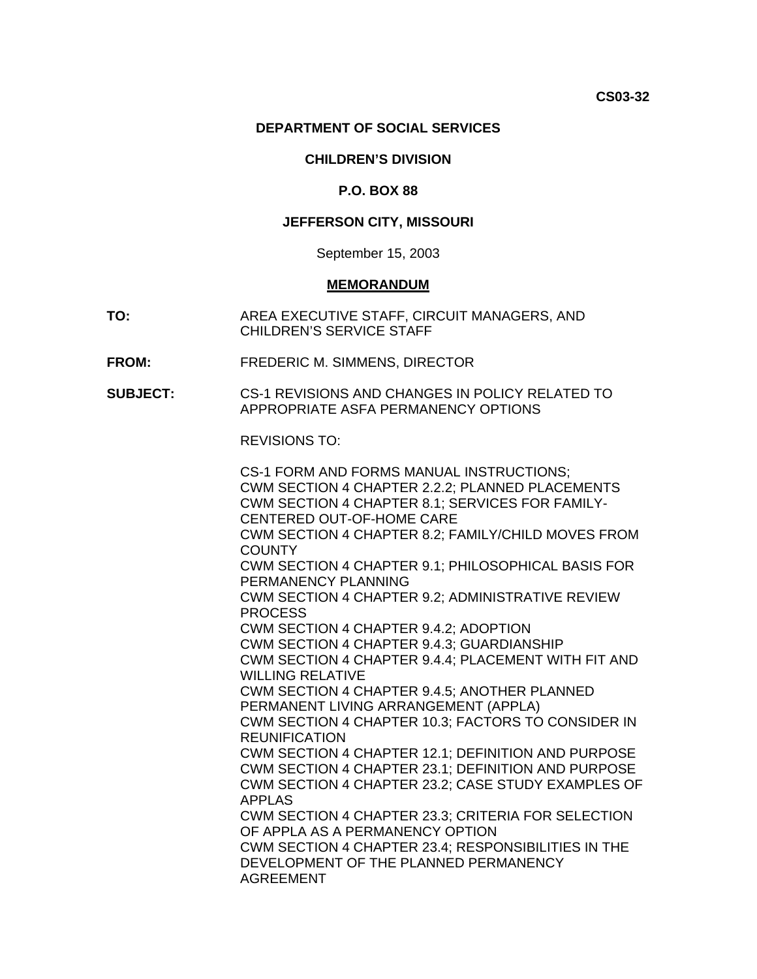#### **DEPARTMENT OF SOCIAL SERVICES**

### **CHILDREN'S DIVISION**

### **P.O. BOX 88**

## **JEFFERSON CITY, MISSOURI**

#### September 15, 2003

#### **MEMORANDUM**

- **TO:** AREA EXECUTIVE STAFF, CIRCUIT MANAGERS, AND CHILDREN'S SERVICE STAFF
- **FROM:** FREDERIC M. SIMMENS, DIRECTOR
- **SUBJECT:** CS-1 REVISIONS AND CHANGES IN POLICY RELATED TO APPROPRIATE ASFA PERMANENCY OPTIONS

REVISIONS TO:

| CS-1 FORM AND FORMS MANUAL INSTRUCTIONS;                                  |
|---------------------------------------------------------------------------|
| CWM SECTION 4 CHAPTER 2.2.2; PLANNED PLACEMENTS                           |
| CWM SECTION 4 CHAPTER 8.1; SERVICES FOR FAMILY-                           |
| CENTERED OUT-OF-HOME CARE                                                 |
| CWM SECTION 4 CHAPTER 8.2; FAMILY/CHILD MOVES FROM<br><b>COUNTY</b>       |
| CWM SECTION 4 CHAPTER 9.1; PHILOSOPHICAL BASIS FOR<br>PERMANENCY PLANNING |
| CWM SECTION 4 CHAPTER 9.2; ADMINISTRATIVE REVIEW<br><b>PROCESS</b>        |
| CWM SECTION 4 CHAPTER 9.4.2; ADOPTION                                     |
| CWM SECTION 4 CHAPTER 9.4.3; GUARDIANSHIP                                 |
| CWM SECTION 4 CHAPTER 9.4.4; PLACEMENT WITH FIT AND                       |
| <b>WILLING RELATIVE</b>                                                   |
| CWM SECTION 4 CHAPTER 9.4.5; ANOTHER PLANNED                              |
| PERMANENT LIVING ARRANGEMENT (APPLA)                                      |
| CWM SECTION 4 CHAPTER 10.3; FACTORS TO CONSIDER IN                        |
| <b>REUNIFICATION</b>                                                      |
| CWM SECTION 4 CHAPTER 12.1; DEFINITION AND PURPOSE                        |
| CWM SECTION 4 CHAPTER 23.1; DEFINITION AND PURPOSE                        |
| CWM SECTION 4 CHAPTER 23.2; CASE STUDY EXAMPLES OF                        |
| <b>APPLAS</b>                                                             |
| CWM SECTION 4 CHAPTER 23.3; CRITERIA FOR SELECTION                        |
| OF APPLA AS A PERMANENCY OPTION                                           |
| CWM SECTION 4 CHAPTER 23.4; RESPONSIBILITIES IN THE                       |
| DEVELOPMENT OF THE PLANNED PERMANENCY                                     |
| <b>AGREEMENT</b>                                                          |
|                                                                           |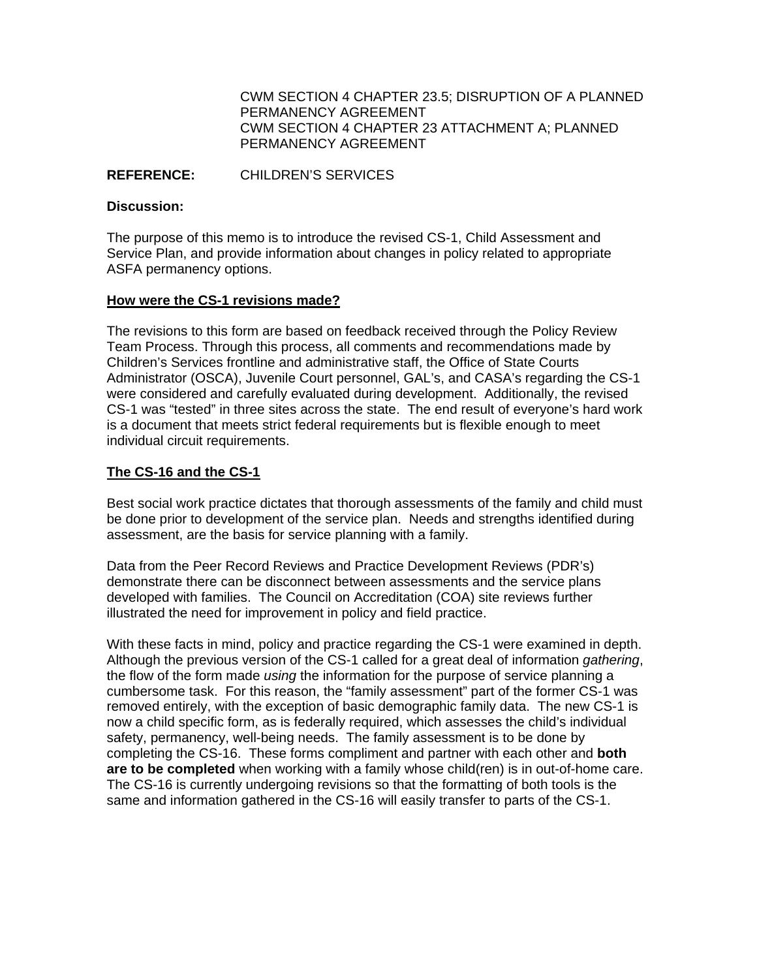[CWM SECTION 4 CHAPTER 23.5; DISRUPTION OF A PLANNED](http://dss.missouri.gov/cd/info/cwman/sec4/ch23/4_23_5.shtml)  [PERMANENCY AGREEMENT](http://dss.missouri.gov/cd/info/cwman/sec4/ch23/4_23_5.shtml) [CWM SECTION 4 CHAPTER 23 ATTACHMENT A; PLANNED](http://dss.missouri.gov/cd/info/cwman/sec4/ch23/4_23_a.pdf)  [PERMANENCY AGREEMENT](http://dss.missouri.gov/cd/info/cwman/sec4/ch23/4_23_a.pdf)

#### **REFERENCE:** CHILDREN'S SERVICES

#### **Discussion:**

The purpose of this memo is to introduce the revised CS-1, Child Assessment and Service Plan, and provide information about changes in policy related to appropriate ASFA permanency options.

### **How were the CS-1 revisions made?**

The revisions to this form are based on feedback received through the Policy Review Team Process. Through this process, all comments and recommendations made by Children's Services frontline and administrative staff, the Office of State Courts Administrator (OSCA), Juvenile Court personnel, GAL's, and CASA's regarding the CS-1 were considered and carefully evaluated during development. Additionally, the revised CS-1 was "tested" in three sites across the state. The end result of everyone's hard work is a document that meets strict federal requirements but is flexible enough to meet individual circuit requirements.

## **The CS-16 and the CS-1**

Best social work practice dictates that thorough assessments of the family and child must be done prior to development of the service plan. Needs and strengths identified during assessment, are the basis for service planning with a family.

Data from the Peer Record Reviews and Practice Development Reviews (PDR's) demonstrate there can be disconnect between assessments and the service plans developed with families. The Council on Accreditation (COA) site reviews further illustrated the need for improvement in policy and field practice.

With these facts in mind, policy and practice regarding the CS-1 were examined in depth. Although the previous version of the CS-1 called for a great deal of information *gathering*, the flow of the form made *using* the information for the purpose of service planning a cumbersome task. For this reason, the "family assessment" part of the former CS-1 was removed entirely, with the exception of basic demographic family data. The new CS-1 is now a child specific form, as is federally required, which assesses the child's individual safety, permanency, well-being needs. The family assessment is to be done by completing the CS-16. These forms compliment and partner with each other and **both are to be completed** when working with a family whose child(ren) is in out-of-home care. The CS-16 is currently undergoing revisions so that the formatting of both tools is the same and information gathered in the CS-16 will easily transfer to parts of the CS-1.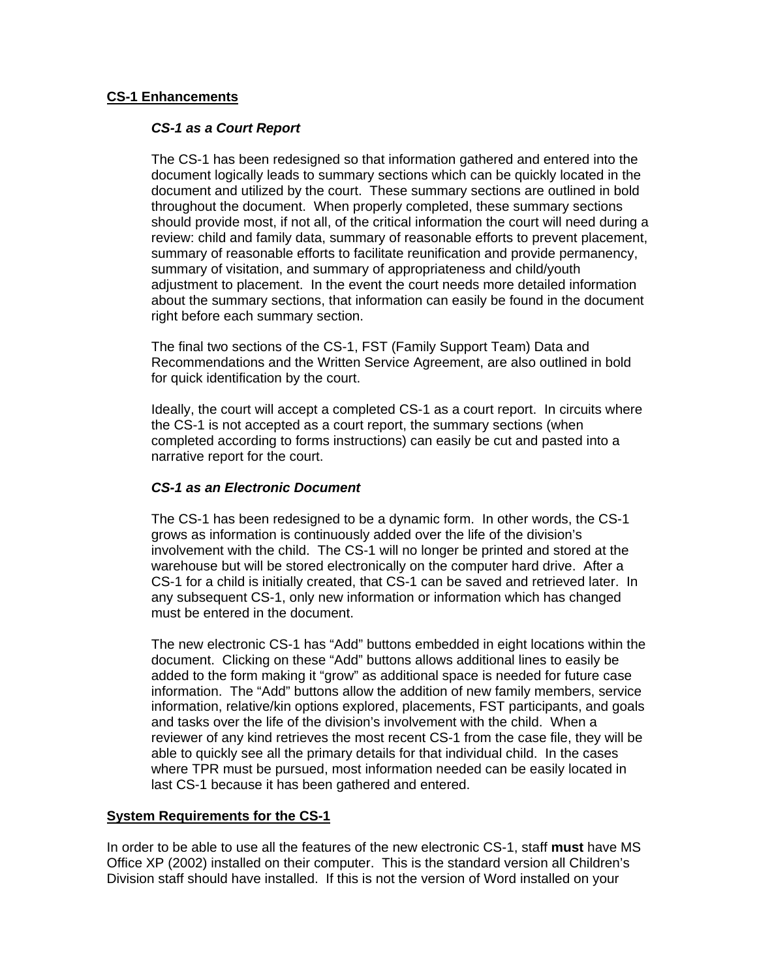### **CS-1 Enhancements**

#### *CS-1 as a Court Report*

The CS-1 has been redesigned so that information gathered and entered into the document logically leads to summary sections which can be quickly located in the document and utilized by the court. These summary sections are outlined in bold throughout the document. When properly completed, these summary sections should provide most, if not all, of the critical information the court will need during a review: child and family data, summary of reasonable efforts to prevent placement, summary of reasonable efforts to facilitate reunification and provide permanency, summary of visitation, and summary of appropriateness and child/youth adjustment to placement. In the event the court needs more detailed information about the summary sections, that information can easily be found in the document right before each summary section.

The final two sections of the CS-1, FST (Family Support Team) Data and Recommendations and the Written Service Agreement, are also outlined in bold for quick identification by the court.

Ideally, the court will accept a completed CS-1 as a court report. In circuits where the CS-1 is not accepted as a court report, the summary sections (when completed according to forms instructions) can easily be cut and pasted into a narrative report for the court.

## *CS-1 as an Electronic Document*

The CS-1 has been redesigned to be a dynamic form. In other words, the CS-1 grows as information is continuously added over the life of the division's involvement with the child. The CS-1 will no longer be printed and stored at the warehouse but will be stored electronically on the computer hard drive. After a CS-1 for a child is initially created, that CS-1 can be saved and retrieved later. In any subsequent CS-1, only new information or information which has changed must be entered in the document.

The new electronic CS-1 has "Add" buttons embedded in eight locations within the document. Clicking on these "Add" buttons allows additional lines to easily be added to the form making it "grow" as additional space is needed for future case information. The "Add" buttons allow the addition of new family members, service information, relative/kin options explored, placements, FST participants, and goals and tasks over the life of the division's involvement with the child. When a reviewer of any kind retrieves the most recent CS-1 from the case file, they will be able to quickly see all the primary details for that individual child. In the cases where TPR must be pursued, most information needed can be easily located in last CS-1 because it has been gathered and entered.

#### **System Requirements for the CS-1**

In order to be able to use all the features of the new electronic CS-1, staff **must** have MS Office XP (2002) installed on their computer. This is the standard version all Children's Division staff should have installed. If this is not the version of Word installed on your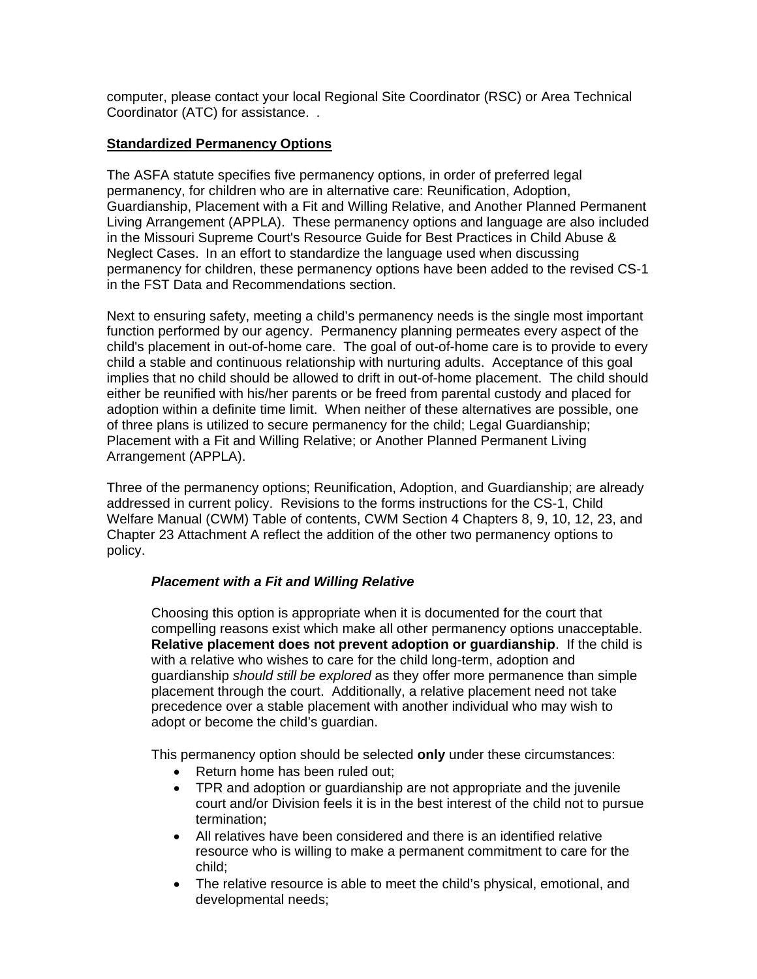computer, please contact your local Regional Site Coordinator (RSC) or Area Technical Coordinator (ATC) for assistance. *.* 

## **Standardized Permanency Options**

The ASFA statute specifies five permanency options, in order of preferred legal permanency, for children who are in alternative care: Reunification, Adoption, Guardianship, Placement with a Fit and Willing Relative, and Another Planned Permanent Living Arrangement (APPLA). These permanency options and language are also included in the Missouri Supreme Court's Resource Guide for Best Practices in Child Abuse & Neglect Cases. In an effort to standardize the language used when discussing permanency for children, these permanency options have been added to the revised CS-1 in the FST Data and Recommendations section.

Next to ensuring safety, meeting a child's permanency needs is the single most important function performed by our agency. Permanency planning permeates every aspect of the child's placement in out-of-home care. The goal of out-of-home care is to provide to every child a stable and continuous relationship with nurturing adults. Acceptance of this goal implies that no child should be allowed to drift in out-of-home placement. The child should either be reunified with his/her parents or be freed from parental custody and placed for adoption within a definite time limit. When neither of these alternatives are possible, one of three plans is utilized to secure permanency for the child; Legal Guardianship; Placement with a Fit and Willing Relative; or Another Planned Permanent Living Arrangement (APPLA).

Three of the permanency options; Reunification, Adoption, and Guardianship; are already addressed in current policy. Revisions to the forms instructions for the CS-1, Child Welfare Manual (CWM) Table of contents, CWM Section 4 Chapters 8, 9, 10, 12, 23, and Chapter 23 Attachment A reflect the addition of the other two permanency options to policy.

# *Placement with a Fit and Willing Relative*

Choosing this option is appropriate when it is documented for the court that compelling reasons exist which make all other permanency options unacceptable. **Relative placement does not prevent adoption or guardianship**. If the child is with a relative who wishes to care for the child long-term, adoption and guardianship *should still be explored* as they offer more permanence than simple placement through the court. Additionally, a relative placement need not take precedence over a stable placement with another individual who may wish to adopt or become the child's guardian.

This permanency option should be selected **only** under these circumstances:

- Return home has been ruled out;
- TPR and adoption or guardianship are not appropriate and the juvenile court and/or Division feels it is in the best interest of the child not to pursue termination;
- All relatives have been considered and there is an identified relative resource who is willing to make a permanent commitment to care for the child;
- The relative resource is able to meet the child's physical, emotional, and developmental needs;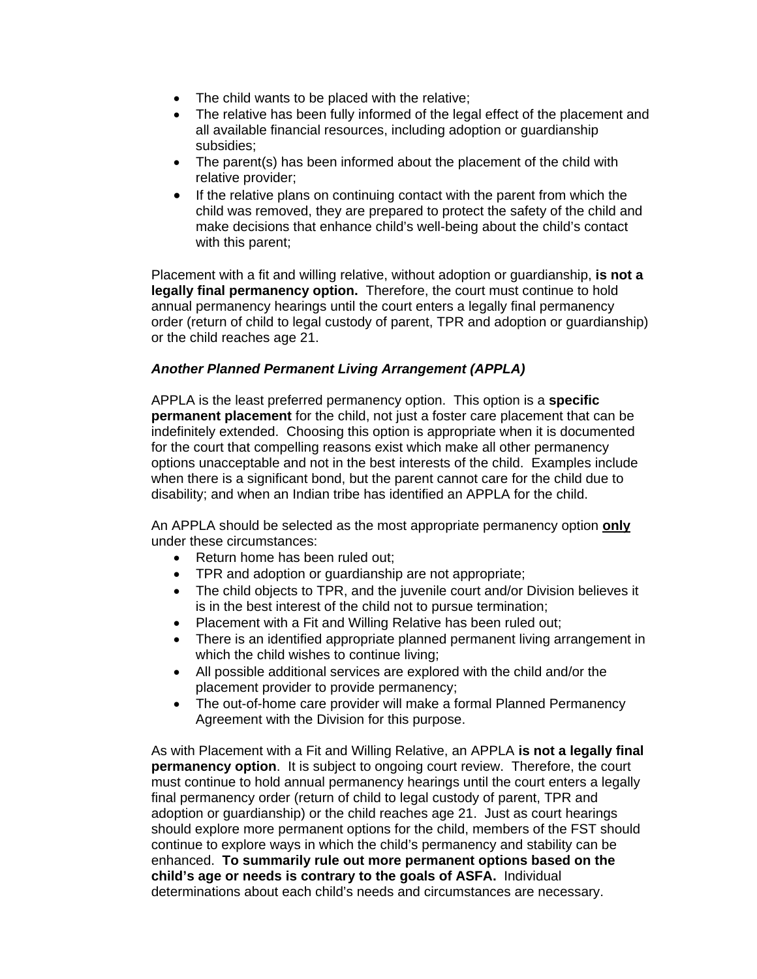- The child wants to be placed with the relative;
- The relative has been fully informed of the legal effect of the placement and all available financial resources, including adoption or guardianship subsidies;
- The parent(s) has been informed about the placement of the child with relative provider;
- If the relative plans on continuing contact with the parent from which the child was removed, they are prepared to protect the safety of the child and make decisions that enhance child's well-being about the child's contact with this parent;

Placement with a fit and willing relative, without adoption or guardianship, **is not a legally final permanency option.** Therefore, the court must continue to hold annual permanency hearings until the court enters a legally final permanency order (return of child to legal custody of parent, TPR and adoption or guardianship) or the child reaches age 21.

### *Another Planned Permanent Living Arrangement (APPLA)*

APPLA is the least preferred permanency option. This option is a **specific permanent placement** for the child, not just a foster care placement that can be indefinitely extended. Choosing this option is appropriate when it is documented for the court that compelling reasons exist which make all other permanency options unacceptable and not in the best interests of the child. Examples include when there is a significant bond, but the parent cannot care for the child due to disability; and when an Indian tribe has identified an APPLA for the child.

An APPLA should be selected as the most appropriate permanency option **only**  under these circumstances:

- Return home has been ruled out;
- TPR and adoption or guardianship are not appropriate;
- The child objects to TPR, and the juvenile court and/or Division believes it is in the best interest of the child not to pursue termination;
- Placement with a Fit and Willing Relative has been ruled out;
- There is an identified appropriate planned permanent living arrangement in which the child wishes to continue living;
- All possible additional services are explored with the child and/or the placement provider to provide permanency;
- The out-of-home care provider will make a formal Planned Permanency Agreement with the Division for this purpose.

As with Placement with a Fit and Willing Relative, an APPLA **is not a legally final permanency option**. It is subject to ongoing court review. Therefore, the court must continue to hold annual permanency hearings until the court enters a legally final permanency order (return of child to legal custody of parent, TPR and adoption or guardianship) or the child reaches age 21. Just as court hearings should explore more permanent options for the child, members of the FST should continue to explore ways in which the child's permanency and stability can be enhanced. **To summarily rule out more permanent options based on the child's age or needs is contrary to the goals of ASFA.** Individual determinations about each child's needs and circumstances are necessary.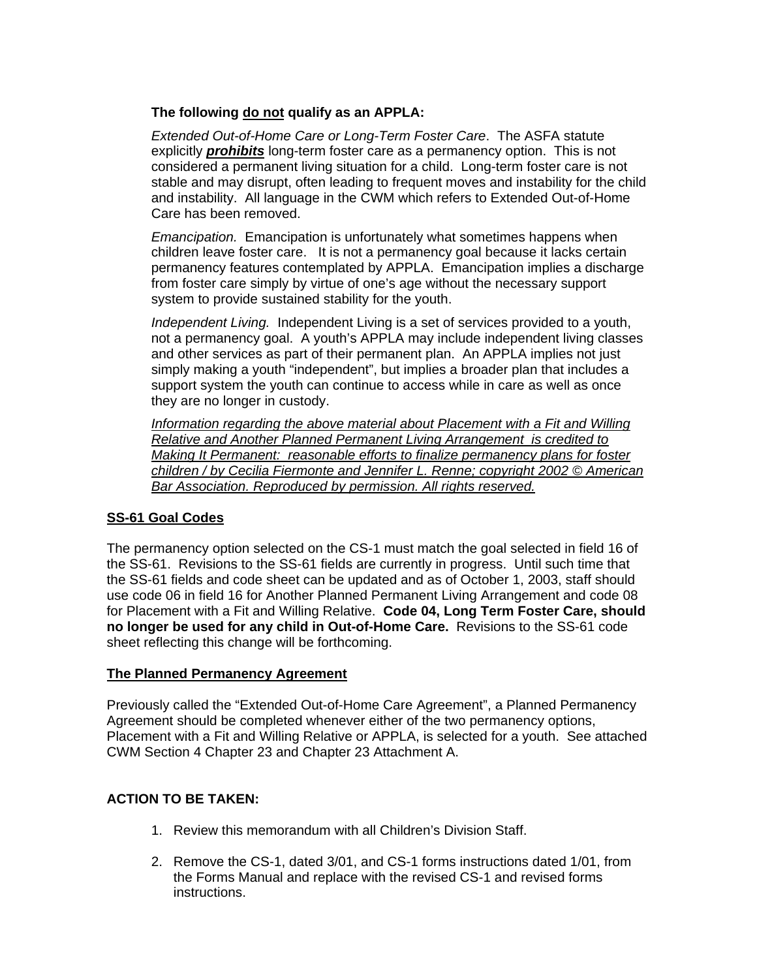## **The following do not qualify as an APPLA:**

 *Extended Out-of-Home Care or Long-Term Foster Care*. The ASFA statute explicitly *prohibits* long-term foster care as a permanency option. This is not considered a permanent living situation for a child. Long-term foster care is not stable and may disrupt, often leading to frequent moves and instability for the child and instability. All language in the CWM which refers to Extended Out-of-Home Care has been removed.

*Emancipation.* Emancipation is unfortunately what sometimes happens when children leave foster care. It is not a permanency goal because it lacks certain permanency features contemplated by APPLA. Emancipation implies a discharge from foster care simply by virtue of one's age without the necessary support system to provide sustained stability for the youth.

*Independent Living.* Independent Living is a set of services provided to a youth, not a permanency goal. A youth's APPLA may include independent living classes and other services as part of their permanent plan. An APPLA implies not just simply making a youth "independent", but implies a broader plan that includes a support system the youth can continue to access while in care as well as once they are no longer in custody.

*Information regarding the above material about Placement with a Fit and Willing Relative and Another Planned Permanent Living Arrangement is credited to Making It Permanent: reasonable efforts to finalize permanency plans for foster children / by Cecilia Fiermonte and Jennifer L. Renne; copyright 2002 © American Bar Association. Reproduced by permission. All rights reserved.* 

# **SS-61 Goal Codes**

The permanency option selected on the CS-1 must match the goal selected in field 16 of the SS-61. Revisions to the SS-61 fields are currently in progress. Until such time that the SS-61 fields and code sheet can be updated and as of October 1, 2003, staff should use code 06 in field 16 for Another Planned Permanent Living Arrangement and code 08 for Placement with a Fit and Willing Relative. **Code 04, Long Term Foster Care, should no longer be used for any child in Out-of-Home Care.** Revisions to the SS-61 code sheet reflecting this change will be forthcoming.

## **The Planned Permanency Agreement**

Previously called the "Extended Out-of-Home Care Agreement", a Planned Permanency Agreement should be completed whenever either of the two permanency options, Placement with a Fit and Willing Relative or APPLA, is selected for a youth. See attached CWM Section 4 Chapter 23 and Chapter 23 Attachment A.

## **ACTION TO BE TAKEN:**

- 1. Review this memorandum with all Children's Division Staff.
- 2. Remove the CS-1, dated 3/01, and CS-1 forms instructions dated 1/01, from the Forms Manual and replace with the revised CS-1 and revised forms instructions.